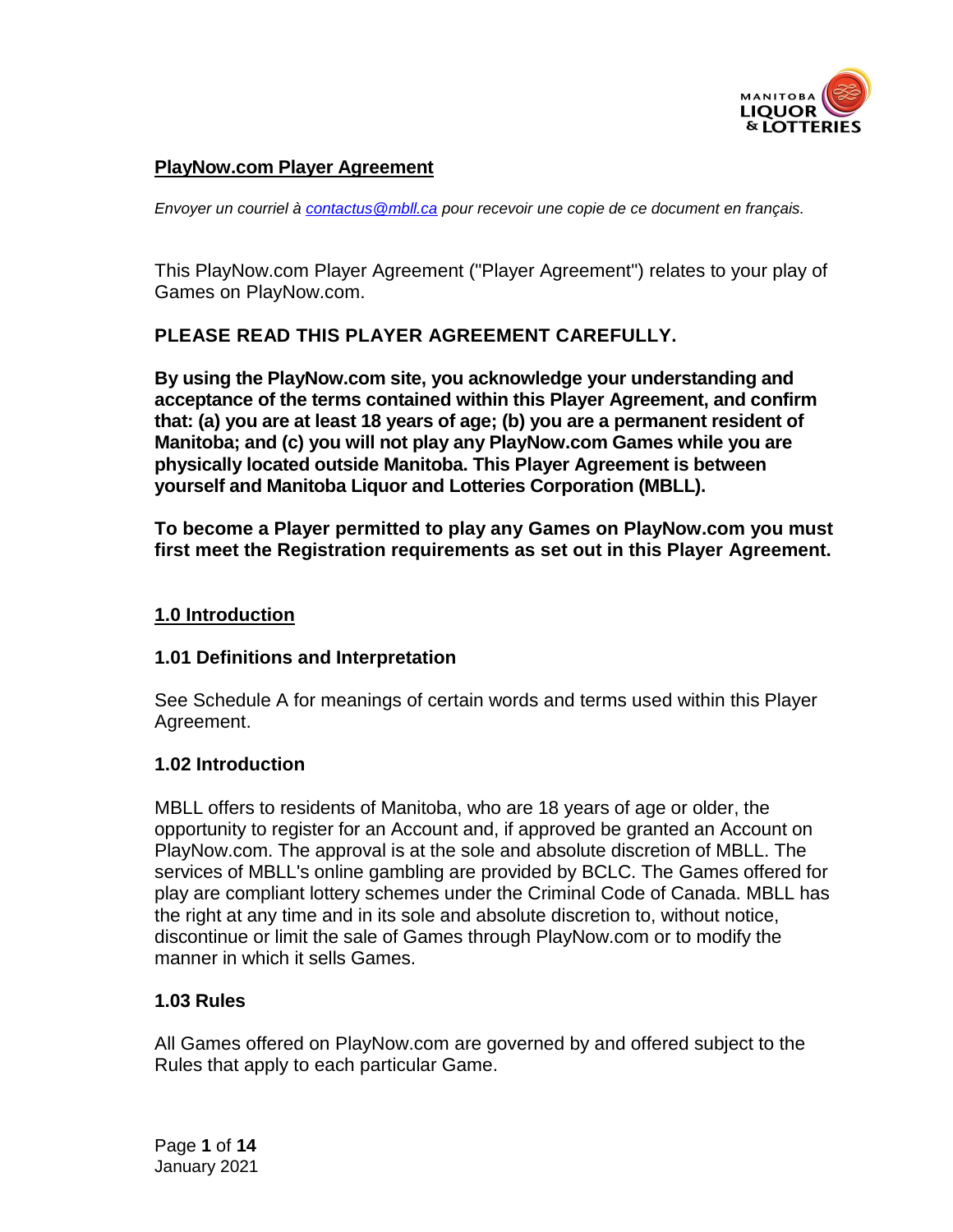

#### **PlayNow.com Player Agreement**

*Envoyer un courriel à [contactus@mbll.ca](mailto:contactus@mbll.ca) pour recevoir une copie de ce document en français.*

This PlayNow.com Player Agreement ("Player Agreement") relates to your play of Games on PlayNow.com.

### **PLEASE READ THIS PLAYER AGREEMENT CAREFULLY.**

**By using the PlayNow.com site, you acknowledge your understanding and acceptance of the terms contained within this Player Agreement, and confirm that: (a) you are at least 18 years of age; (b) you are a permanent resident of Manitoba; and (c) you will not play any PlayNow.com Games while you are physically located outside Manitoba. This Player Agreement is between yourself and Manitoba Liquor and Lotteries Corporation (MBLL).**

**To become a Player permitted to play any Games on PlayNow.com you must first meet the Registration requirements as set out in this Player Agreement.**

#### **1.0 Introduction**

#### **1.01 Definitions and Interpretation**

See Schedule A for meanings of certain words and terms used within this Player Agreement.

#### **1.02 Introduction**

MBLL offers to residents of Manitoba, who are 18 years of age or older, the opportunity to register for an Account and, if approved be granted an Account on PlayNow.com. The approval is at the sole and absolute discretion of MBLL. The services of MBLL's online gambling are provided by BCLC. The Games offered for play are compliant lottery schemes under the Criminal Code of Canada. MBLL has the right at any time and in its sole and absolute discretion to, without notice, discontinue or limit the sale of Games through PlayNow.com or to modify the manner in which it sells Games.

### **1.03 Rules**

All Games offered on PlayNow.com are governed by and offered subject to the Rules that apply to each particular Game.

Page **1** of **14** January 2021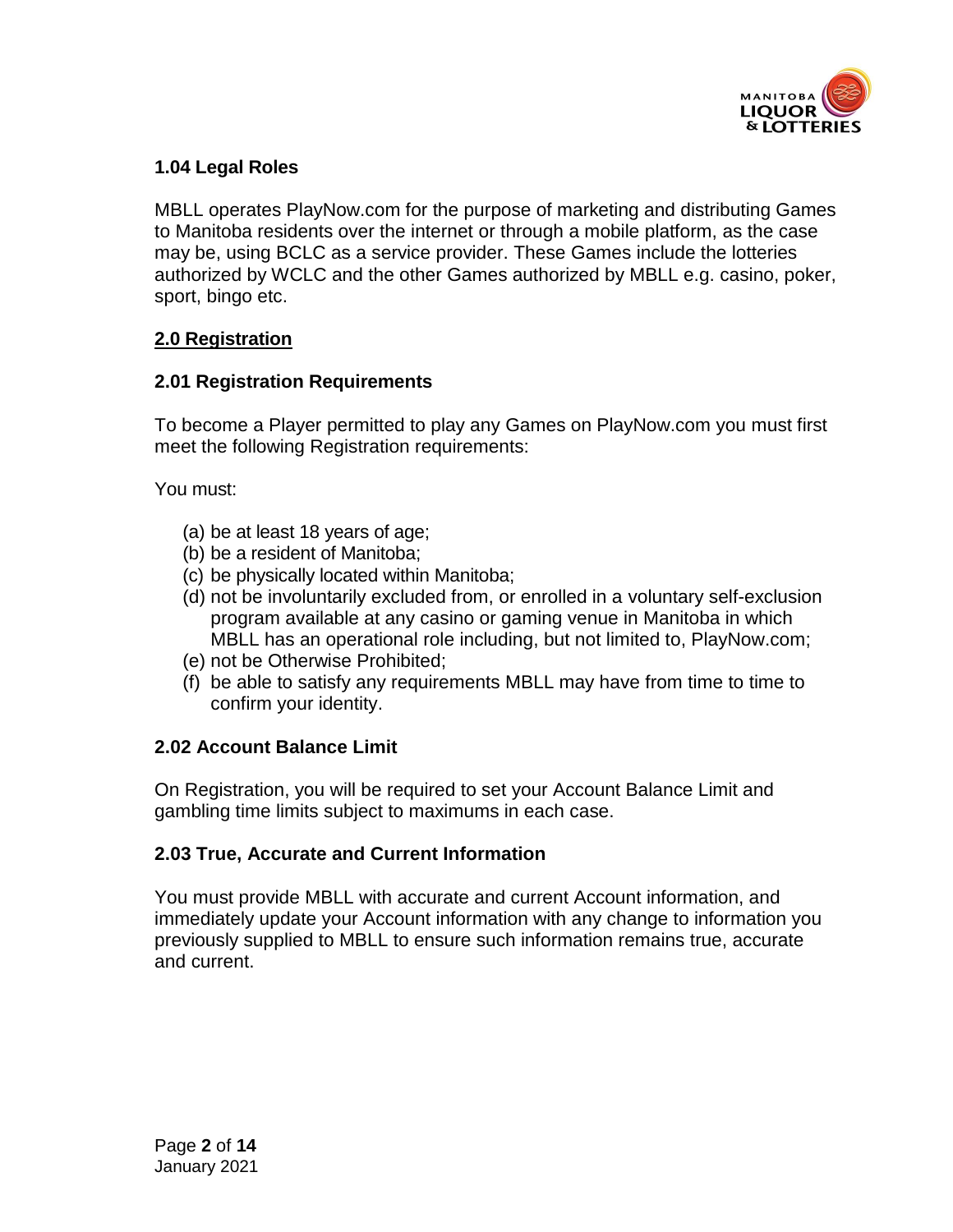

# **1.04 Legal Roles**

MBLL operates PlayNow.com for the purpose of marketing and distributing Games to Manitoba residents over the internet or through a mobile platform, as the case may be, using BCLC as a service provider. These Games include the lotteries authorized by WCLC and the other Games authorized by MBLL e.g. casino, poker, sport, bingo etc.

# **2.0 Registration**

### **2.01 Registration Requirements**

To become a Player permitted to play any Games on PlayNow.com you must first meet the following Registration requirements:

You must:

- (a) be at least 18 years of age;
- (b) be a resident of Manitoba;
- (c) be physically located within Manitoba;
- (d) not be involuntarily excluded from, or enrolled in a voluntary self-exclusion program available at any casino or gaming venue in Manitoba in which MBLL has an operational role including, but not limited to, PlayNow.com;
- (e) not be Otherwise Prohibited;
- (f) be able to satisfy any requirements MBLL may have from time to time to confirm your identity.

### **2.02 Account Balance Limit**

On Registration, you will be required to set your Account Balance Limit and gambling time limits subject to maximums in each case.

# **2.03 True, Accurate and Current Information**

You must provide MBLL with accurate and current Account information, and immediately update your Account information with any change to information you previously supplied to MBLL to ensure such information remains true, accurate and current.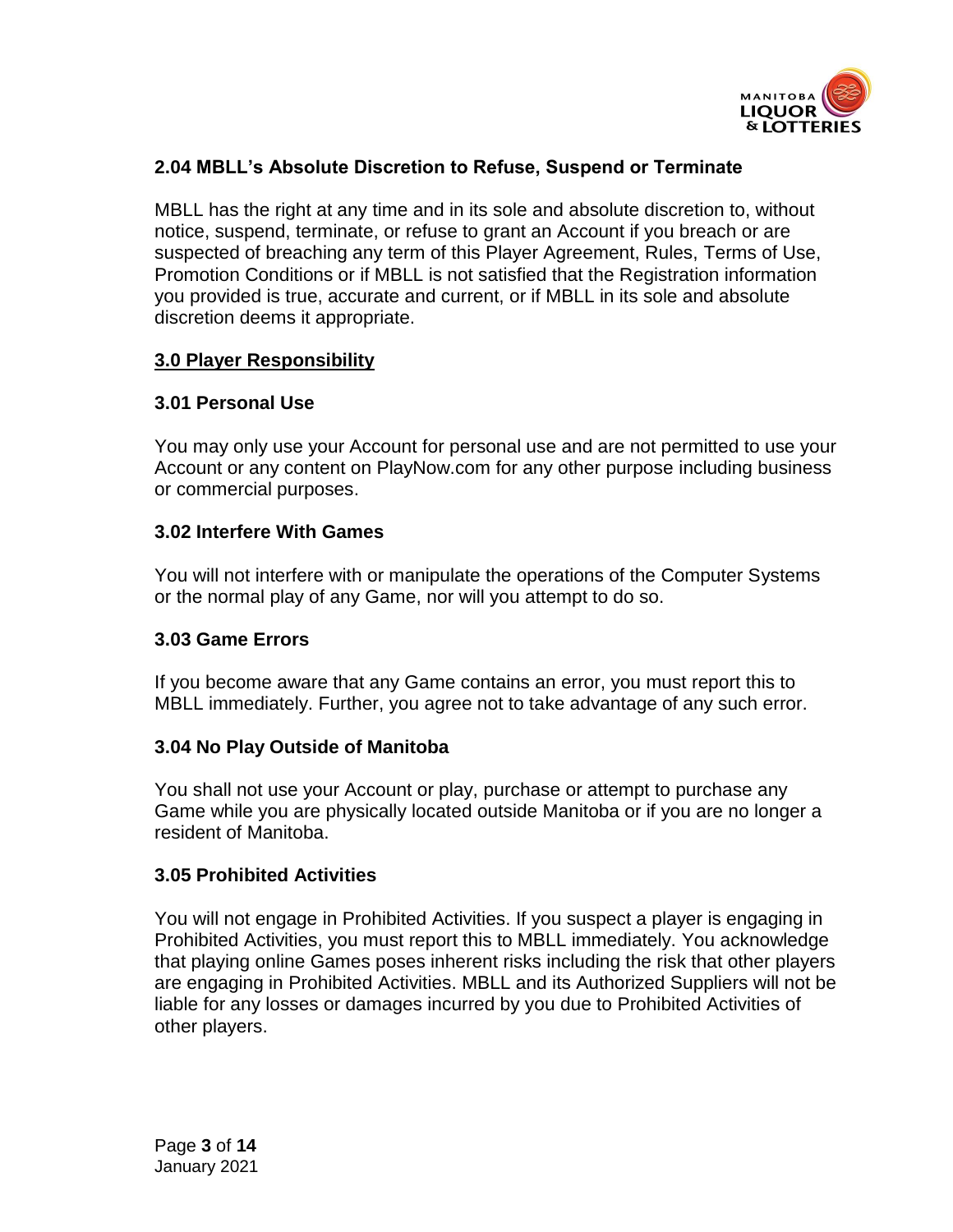

# **2.04 MBLL's Absolute Discretion to Refuse, Suspend or Terminate**

MBLL has the right at any time and in its sole and absolute discretion to, without notice, suspend, terminate, or refuse to grant an Account if you breach or are suspected of breaching any term of this Player Agreement, Rules, Terms of Use, Promotion Conditions or if MBLL is not satisfied that the Registration information you provided is true, accurate and current, or if MBLL in its sole and absolute discretion deems it appropriate.

### **3.0 Player Responsibility**

### **3.01 Personal Use**

You may only use your Account for personal use and are not permitted to use your Account or any content on PlayNow.com for any other purpose including business or commercial purposes.

# **3.02 Interfere With Games**

You will not interfere with or manipulate the operations of the Computer Systems or the normal play of any Game, nor will you attempt to do so.

### **3.03 Game Errors**

If you become aware that any Game contains an error, you must report this to MBLL immediately. Further, you agree not to take advantage of any such error.

### **3.04 No Play Outside of Manitoba**

You shall not use your Account or play, purchase or attempt to purchase any Game while you are physically located outside Manitoba or if you are no longer a resident of Manitoba.

### **3.05 Prohibited Activities**

You will not engage in Prohibited Activities. If you suspect a player is engaging in Prohibited Activities, you must report this to MBLL immediately. You acknowledge that playing online Games poses inherent risks including the risk that other players are engaging in Prohibited Activities. MBLL and its Authorized Suppliers will not be liable for any losses or damages incurred by you due to Prohibited Activities of other players.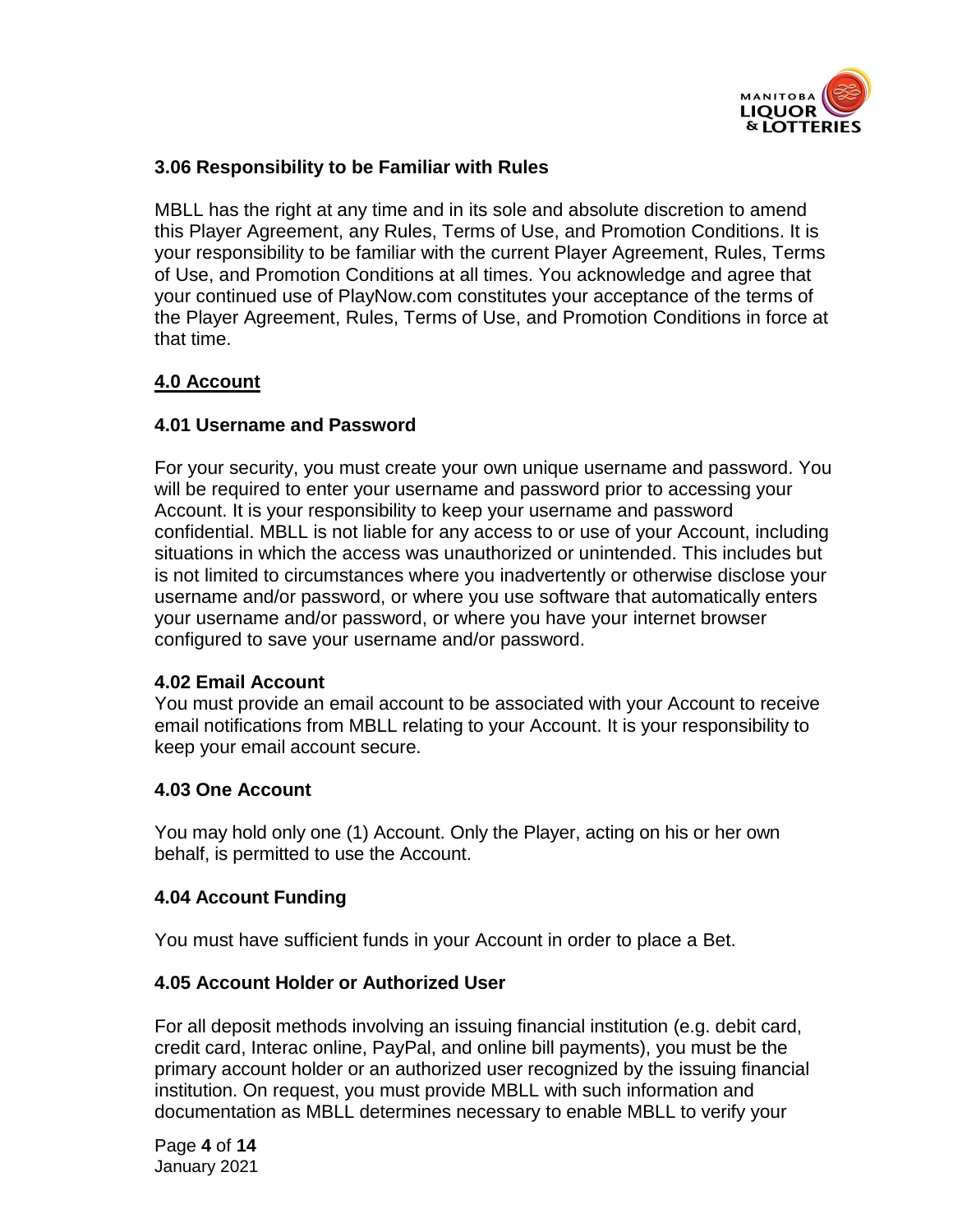

### **3.06 Responsibility to be Familiar with Rules**

MBLL has the right at any time and in its sole and absolute discretion to amend this Player Agreement, any Rules, Terms of Use, and Promotion Conditions. It is your responsibility to be familiar with the current Player Agreement, Rules, Terms of Use, and Promotion Conditions at all times. You acknowledge and agree that your continued use of PlayNow.com constitutes your acceptance of the terms of the Player Agreement, Rules, Terms of Use, and Promotion Conditions in force at that time.

# **4.0 Account**

### **4.01 Username and Password**

For your security, you must create your own unique username and password. You will be required to enter your username and password prior to accessing your Account. It is your responsibility to keep your username and password confidential. MBLL is not liable for any access to or use of your Account, including situations in which the access was unauthorized or unintended. This includes but is not limited to circumstances where you inadvertently or otherwise disclose your username and/or password, or where you use software that automatically enters your username and/or password, or where you have your internet browser configured to save your username and/or password.

### **4.02 Email Account**

You must provide an email account to be associated with your Account to receive email notifications from MBLL relating to your Account. It is your responsibility to keep your email account secure.

### **4.03 One Account**

You may hold only one (1) Account. Only the Player, acting on his or her own behalf, is permitted to use the Account.

### **4.04 Account Funding**

You must have sufficient funds in your Account in order to place a Bet.

### **4.05 Account Holder or Authorized User**

For all deposit methods involving an issuing financial institution (e.g. debit card, credit card, Interac online, PayPal, and online bill payments), you must be the primary account holder or an authorized user recognized by the issuing financial institution. On request, you must provide MBLL with such information and documentation as MBLL determines necessary to enable MBLL to verify your

Page **4** of **14** January 2021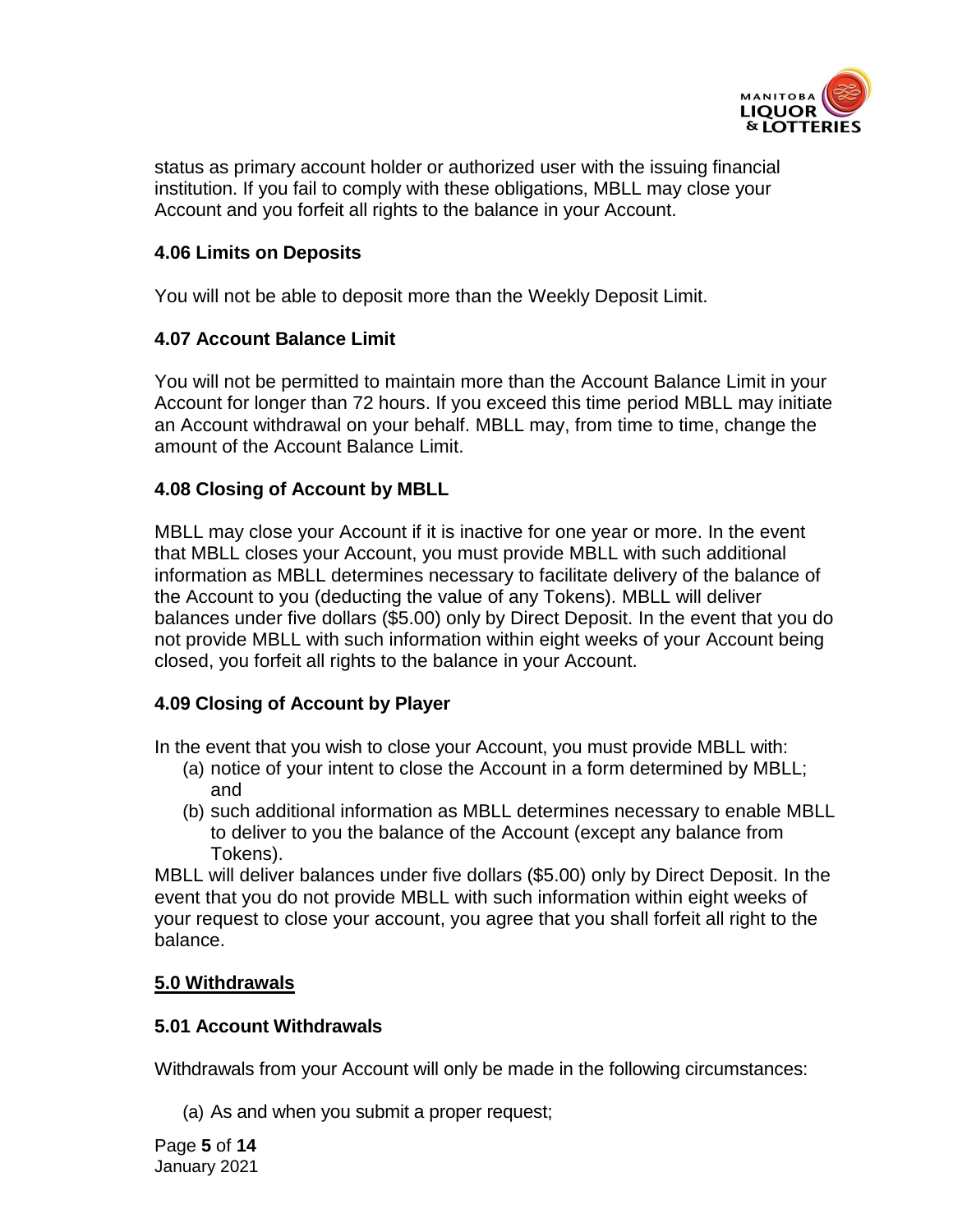

status as primary account holder or authorized user with the issuing financial institution. If you fail to comply with these obligations, MBLL may close your Account and you forfeit all rights to the balance in your Account.

### **4.06 Limits on Deposits**

You will not be able to deposit more than the Weekly Deposit Limit.

### **4.07 Account Balance Limit**

You will not be permitted to maintain more than the Account Balance Limit in your Account for longer than 72 hours. If you exceed this time period MBLL may initiate an Account withdrawal on your behalf. MBLL may, from time to time, change the amount of the Account Balance Limit.

### **4.08 Closing of Account by MBLL**

MBLL may close your Account if it is inactive for one year or more. In the event that MBLL closes your Account, you must provide MBLL with such additional information as MBLL determines necessary to facilitate delivery of the balance of the Account to you (deducting the value of any Tokens). MBLL will deliver balances under five dollars (\$5.00) only by Direct Deposit. In the event that you do not provide MBLL with such information within eight weeks of your Account being closed, you forfeit all rights to the balance in your Account.

# **4.09 Closing of Account by Player**

In the event that you wish to close your Account, you must provide MBLL with:

- (a) notice of your intent to close the Account in a form determined by MBLL; and
- (b) such additional information as MBLL determines necessary to enable MBLL to deliver to you the balance of the Account (except any balance from Tokens).

MBLL will deliver balances under five dollars (\$5.00) only by Direct Deposit. In the event that you do not provide MBLL with such information within eight weeks of your request to close your account, you agree that you shall forfeit all right to the balance.

# **5.0 Withdrawals**

### **5.01 Account Withdrawals**

Withdrawals from your Account will only be made in the following circumstances:

(a) As and when you submit a proper request;

Page **5** of **14** January 2021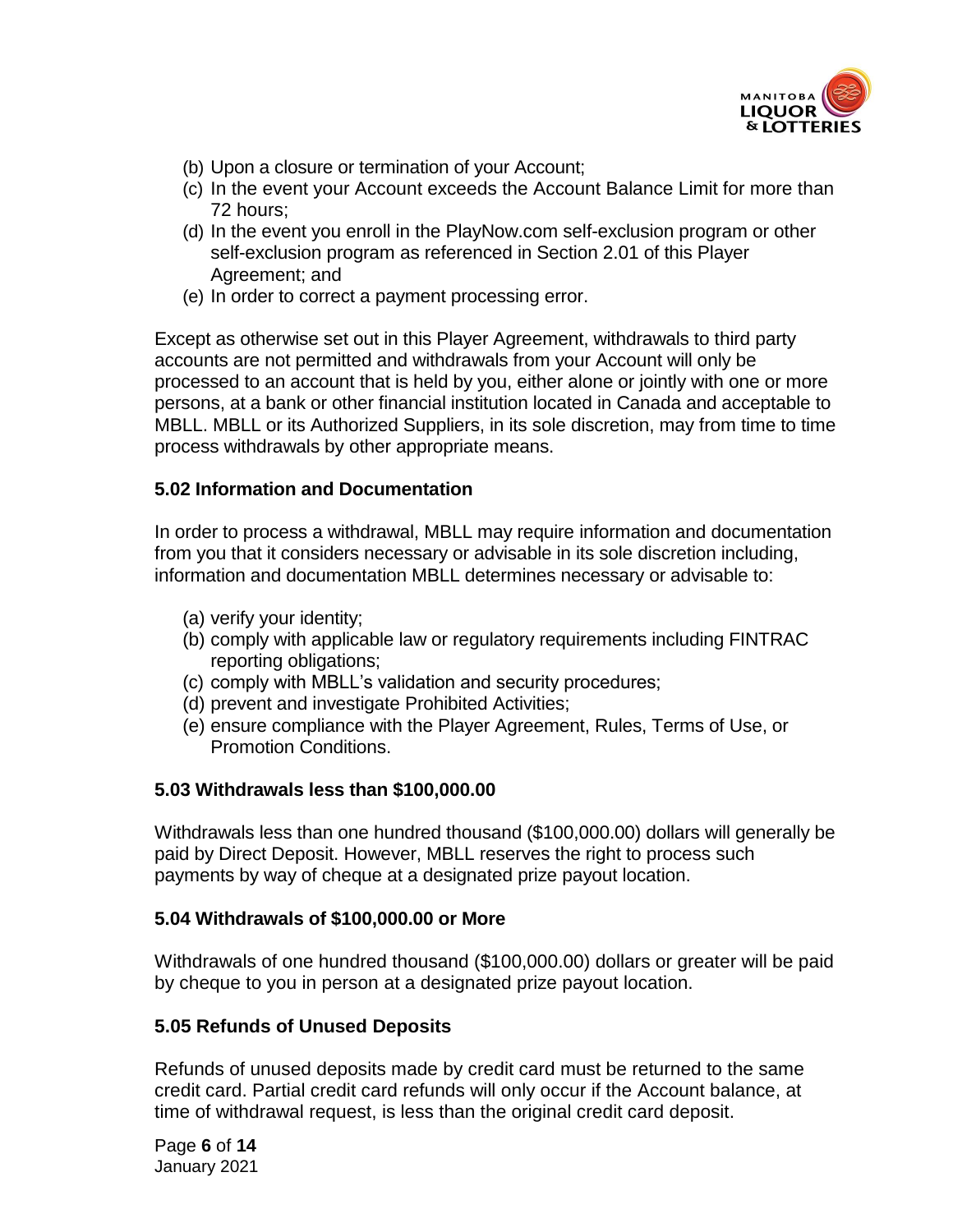

- (b) Upon a closure or termination of your Account;
- (c) In the event your Account exceeds the Account Balance Limit for more than 72 hours;
- (d) In the event you enroll in the PlayNow.com self-exclusion program or other self-exclusion program as referenced in Section 2.01 of this Player Agreement; and
- (e) In order to correct a payment processing error.

Except as otherwise set out in this Player Agreement, withdrawals to third party accounts are not permitted and withdrawals from your Account will only be processed to an account that is held by you, either alone or jointly with one or more persons, at a bank or other financial institution located in Canada and acceptable to MBLL. MBLL or its Authorized Suppliers, in its sole discretion, may from time to time process withdrawals by other appropriate means.

#### **5.02 Information and Documentation**

In order to process a withdrawal, MBLL may require information and documentation from you that it considers necessary or advisable in its sole discretion including, information and documentation MBLL determines necessary or advisable to:

- (a) verify your identity;
- (b) comply with applicable law or regulatory requirements including FINTRAC reporting obligations;
- (c) comply with MBLL's validation and security procedures;
- (d) prevent and investigate Prohibited Activities;
- (e) ensure compliance with the Player Agreement, Rules, Terms of Use, or Promotion Conditions.

### **5.03 Withdrawals less than \$100,000.00**

Withdrawals less than one hundred thousand (\$100,000.00) dollars will generally be paid by Direct Deposit. However, MBLL reserves the right to process such payments by way of cheque at a designated prize payout location.

#### **5.04 Withdrawals of \$100,000.00 or More**

Withdrawals of one hundred thousand (\$100,000.00) dollars or greater will be paid by cheque to you in person at a designated prize payout location.

### **5.05 Refunds of Unused Deposits**

Refunds of unused deposits made by credit card must be returned to the same credit card. Partial credit card refunds will only occur if the Account balance, at time of withdrawal request, is less than the original credit card deposit.

Page **6** of **14** January 2021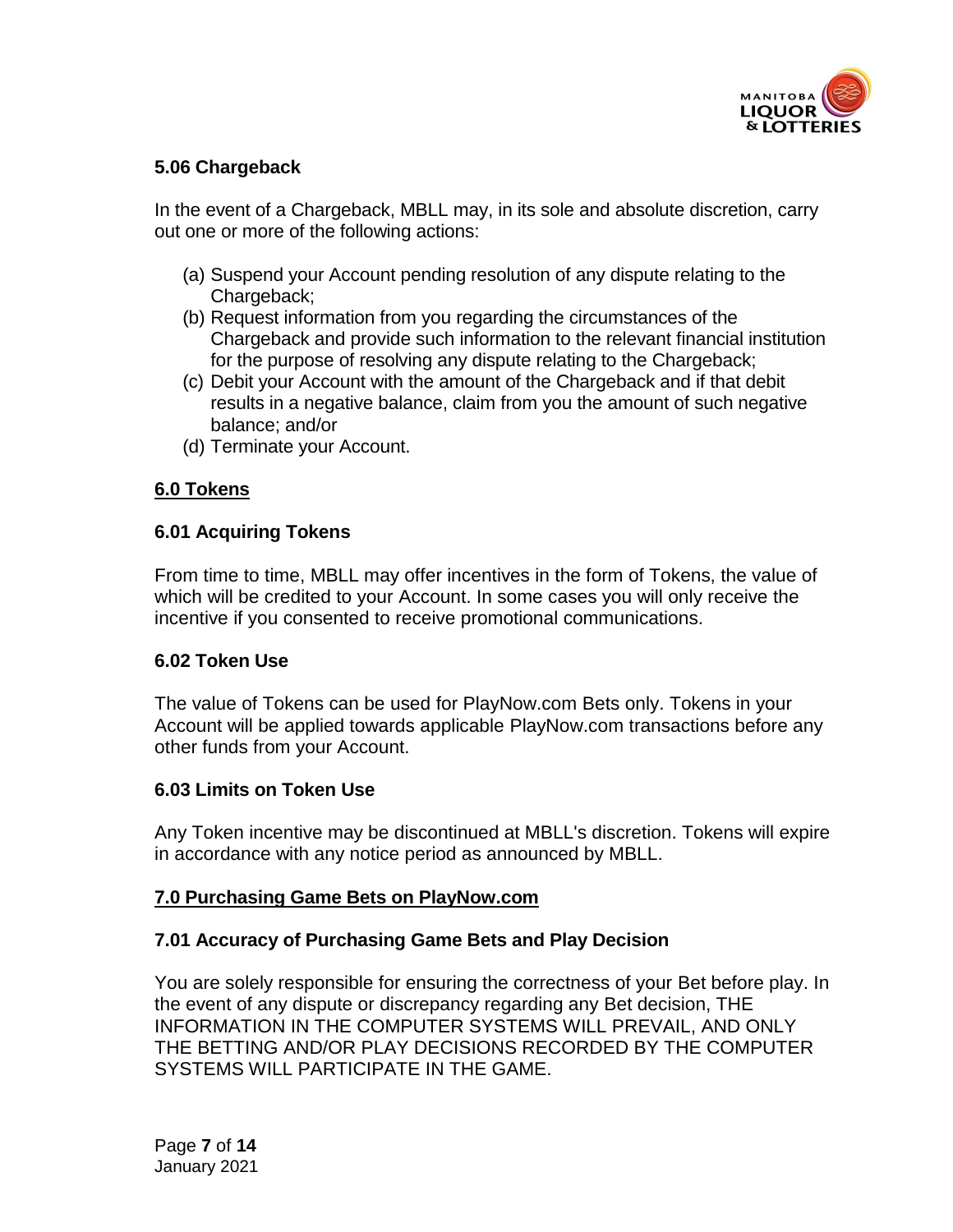

# **5.06 Chargeback**

In the event of a Chargeback, MBLL may, in its sole and absolute discretion, carry out one or more of the following actions:

- (a) Suspend your Account pending resolution of any dispute relating to the Chargeback;
- (b) Request information from you regarding the circumstances of the Chargeback and provide such information to the relevant financial institution for the purpose of resolving any dispute relating to the Chargeback;
- (c) Debit your Account with the amount of the Chargeback and if that debit results in a negative balance, claim from you the amount of such negative balance; and/or
- (d) Terminate your Account.

# **6.0 Tokens**

# **6.01 Acquiring Tokens**

From time to time, MBLL may offer incentives in the form of Tokens, the value of which will be credited to your Account. In some cases you will only receive the incentive if you consented to receive promotional communications.

### **6.02 Token Use**

The value of Tokens can be used for PlayNow.com Bets only. Tokens in your Account will be applied towards applicable PlayNow.com transactions before any other funds from your Account.

### **6.03 Limits on Token Use**

Any Token incentive may be discontinued at MBLL's discretion. Tokens will expire in accordance with any notice period as announced by MBLL.

### **7.0 Purchasing Game Bets on PlayNow.com**

### **7.01 Accuracy of Purchasing Game Bets and Play Decision**

You are solely responsible for ensuring the correctness of your Bet before play. In the event of any dispute or discrepancy regarding any Bet decision, THE INFORMATION IN THE COMPUTER SYSTEMS WILL PREVAIL, AND ONLY THE BETTING AND/OR PLAY DECISIONS RECORDED BY THE COMPUTER SYSTEMS WILL PARTICIPATE IN THE GAME.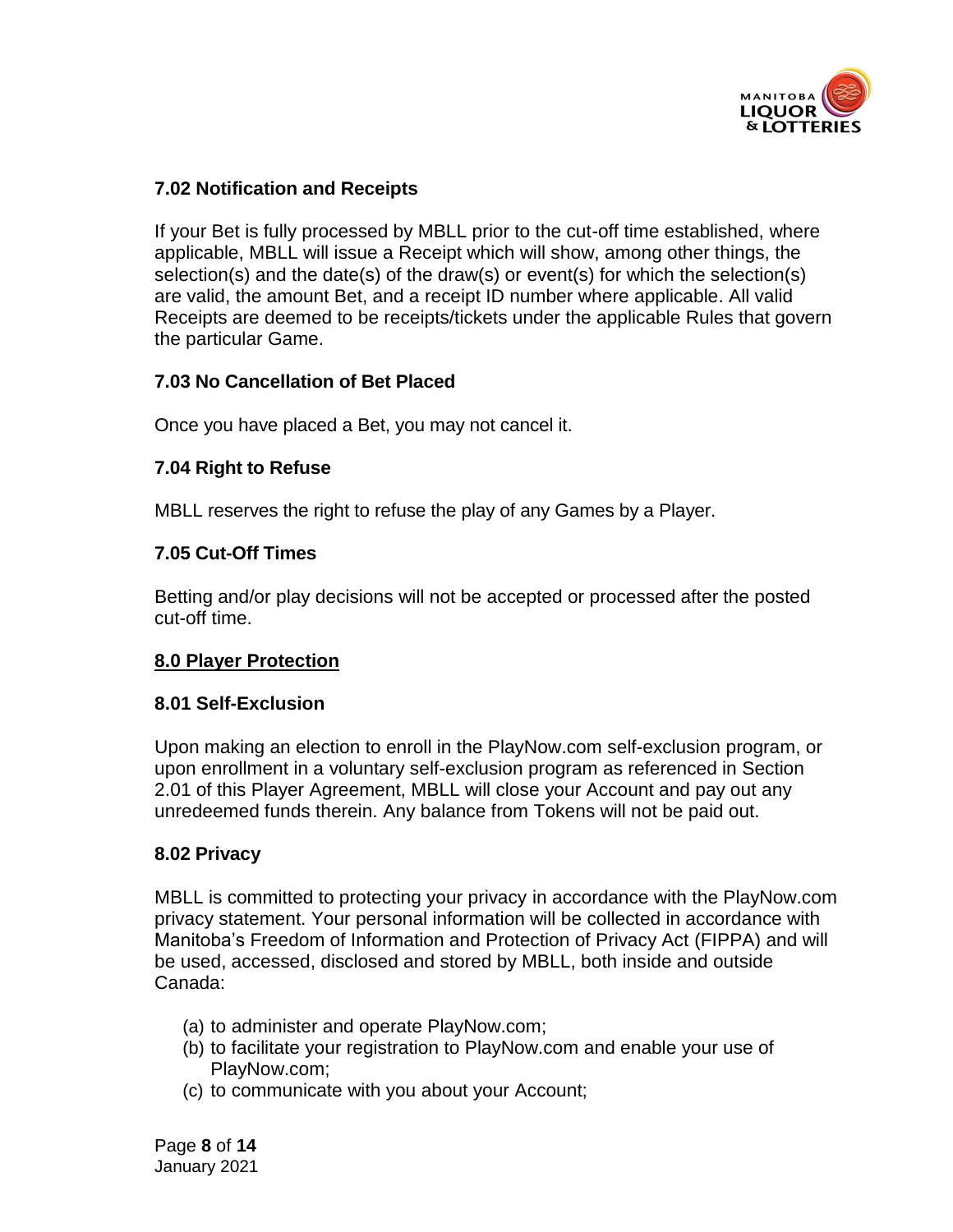

# **7.02 Notification and Receipts**

If your Bet is fully processed by MBLL prior to the cut-off time established, where applicable, MBLL will issue a Receipt which will show, among other things, the selection(s) and the date(s) of the draw(s) or event(s) for which the selection(s) are valid, the amount Bet, and a receipt ID number where applicable. All valid Receipts are deemed to be receipts/tickets under the applicable Rules that govern the particular Game.

# **7.03 No Cancellation of Bet Placed**

Once you have placed a Bet, you may not cancel it.

# **7.04 Right to Refuse**

MBLL reserves the right to refuse the play of any Games by a Player.

# **7.05 Cut-Off Times**

Betting and/or play decisions will not be accepted or processed after the posted cut-off time.

# **8.0 Player Protection**

### **8.01 Self-Exclusion**

Upon making an election to enroll in the PlayNow.com self-exclusion program, or upon enrollment in a voluntary self-exclusion program as referenced in Section 2.01 of this Player Agreement, MBLL will close your Account and pay out any unredeemed funds therein. Any balance from Tokens will not be paid out.

### **8.02 Privacy**

MBLL is committed to protecting your privacy in accordance with the PlayNow.com privacy statement. Your personal information will be collected in accordance with Manitoba's Freedom of Information and Protection of Privacy Act (FIPPA) and will be used, accessed, disclosed and stored by MBLL, both inside and outside Canada:

- (a) to administer and operate PlayNow.com;
- (b) to facilitate your registration to PlayNow.com and enable your use of PlayNow.com;
- (c) to communicate with you about your Account;

Page **8** of **14** January 2021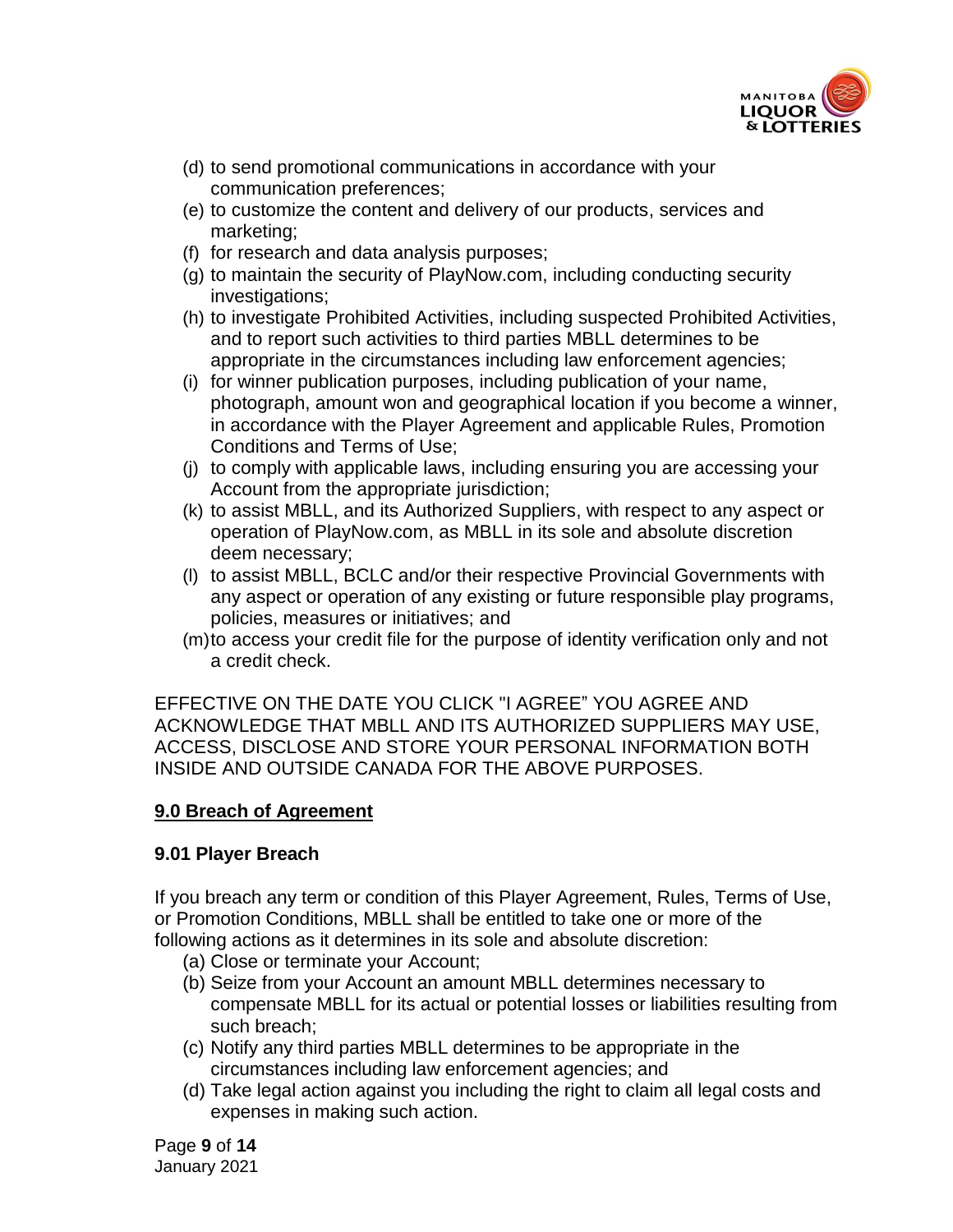

- (d) to send promotional communications in accordance with your communication preferences;
- (e) to customize the content and delivery of our products, services and marketing;
- (f) for research and data analysis purposes;
- (g) to maintain the security of PlayNow.com, including conducting security investigations;
- (h) to investigate Prohibited Activities, including suspected Prohibited Activities, and to report such activities to third parties MBLL determines to be appropriate in the circumstances including law enforcement agencies;
- (i) for winner publication purposes, including publication of your name, photograph, amount won and geographical location if you become a winner, in accordance with the Player Agreement and applicable Rules, Promotion Conditions and Terms of Use;
- (j) to comply with applicable laws, including ensuring you are accessing your Account from the appropriate jurisdiction;
- (k) to assist MBLL, and its Authorized Suppliers, with respect to any aspect or operation of PlayNow.com, as MBLL in its sole and absolute discretion deem necessary;
- (l) to assist MBLL, BCLC and/or their respective Provincial Governments with any aspect or operation of any existing or future responsible play programs, policies, measures or initiatives; and
- (m)to access your credit file for the purpose of identity verification only and not a credit check.

EFFECTIVE ON THE DATE YOU CLICK "I AGREE" YOU AGREE AND ACKNOWLEDGE THAT MBLL AND ITS AUTHORIZED SUPPLIERS MAY USE, ACCESS, DISCLOSE AND STORE YOUR PERSONAL INFORMATION BOTH INSIDE AND OUTSIDE CANADA FOR THE ABOVE PURPOSES.

# **9.0 Breach of Agreement**

### **9.01 Player Breach**

If you breach any term or condition of this Player Agreement, Rules, Terms of Use, or Promotion Conditions, MBLL shall be entitled to take one or more of the following actions as it determines in its sole and absolute discretion:

- (a) Close or terminate your Account;
- (b) Seize from your Account an amount MBLL determines necessary to compensate MBLL for its actual or potential losses or liabilities resulting from such breach;
- (c) Notify any third parties MBLL determines to be appropriate in the circumstances including law enforcement agencies; and
- (d) Take legal action against you including the right to claim all legal costs and expenses in making such action.

Page **9** of **14** January 2021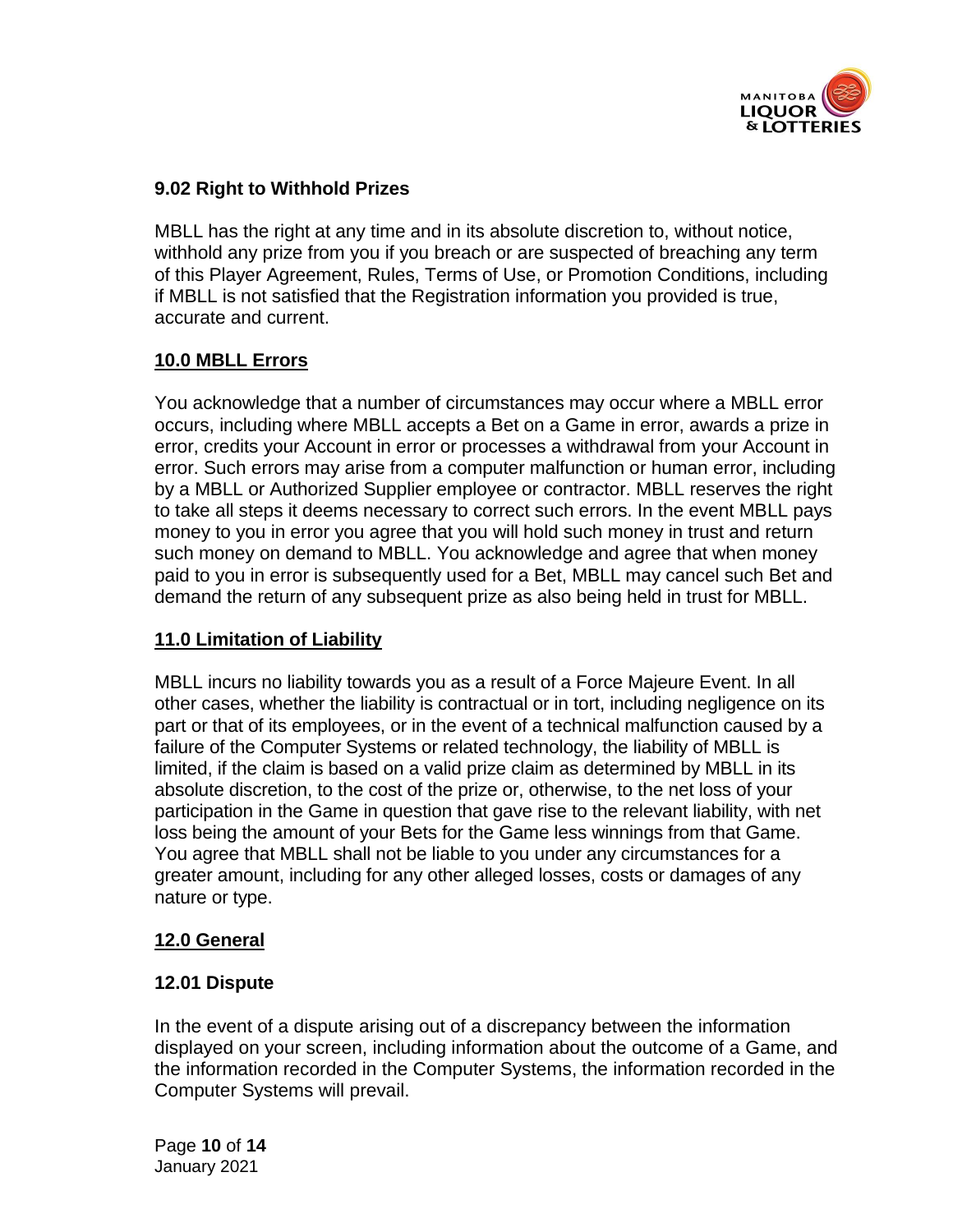

# **9.02 Right to Withhold Prizes**

MBLL has the right at any time and in its absolute discretion to, without notice, withhold any prize from you if you breach or are suspected of breaching any term of this Player Agreement, Rules, Terms of Use, or Promotion Conditions, including if MBLL is not satisfied that the Registration information you provided is true, accurate and current.

# **10.0 MBLL Errors**

You acknowledge that a number of circumstances may occur where a MBLL error occurs, including where MBLL accepts a Bet on a Game in error, awards a prize in error, credits your Account in error or processes a withdrawal from your Account in error. Such errors may arise from a computer malfunction or human error, including by a MBLL or Authorized Supplier employee or contractor. MBLL reserves the right to take all steps it deems necessary to correct such errors. In the event MBLL pays money to you in error you agree that you will hold such money in trust and return such money on demand to MBLL. You acknowledge and agree that when money paid to you in error is subsequently used for a Bet, MBLL may cancel such Bet and demand the return of any subsequent prize as also being held in trust for MBLL.

### **11.0 Limitation of Liability**

MBLL incurs no liability towards you as a result of a Force Majeure Event. In all other cases, whether the liability is contractual or in tort, including negligence on its part or that of its employees, or in the event of a technical malfunction caused by a failure of the Computer Systems or related technology, the liability of MBLL is limited, if the claim is based on a valid prize claim as determined by MBLL in its absolute discretion, to the cost of the prize or, otherwise, to the net loss of your participation in the Game in question that gave rise to the relevant liability, with net loss being the amount of your Bets for the Game less winnings from that Game. You agree that MBLL shall not be liable to you under any circumstances for a greater amount, including for any other alleged losses, costs or damages of any nature or type.

### **12.0 General**

### **12.01 Dispute**

In the event of a dispute arising out of a discrepancy between the information displayed on your screen, including information about the outcome of a Game, and the information recorded in the Computer Systems, the information recorded in the Computer Systems will prevail.

Page **10** of **14** January 2021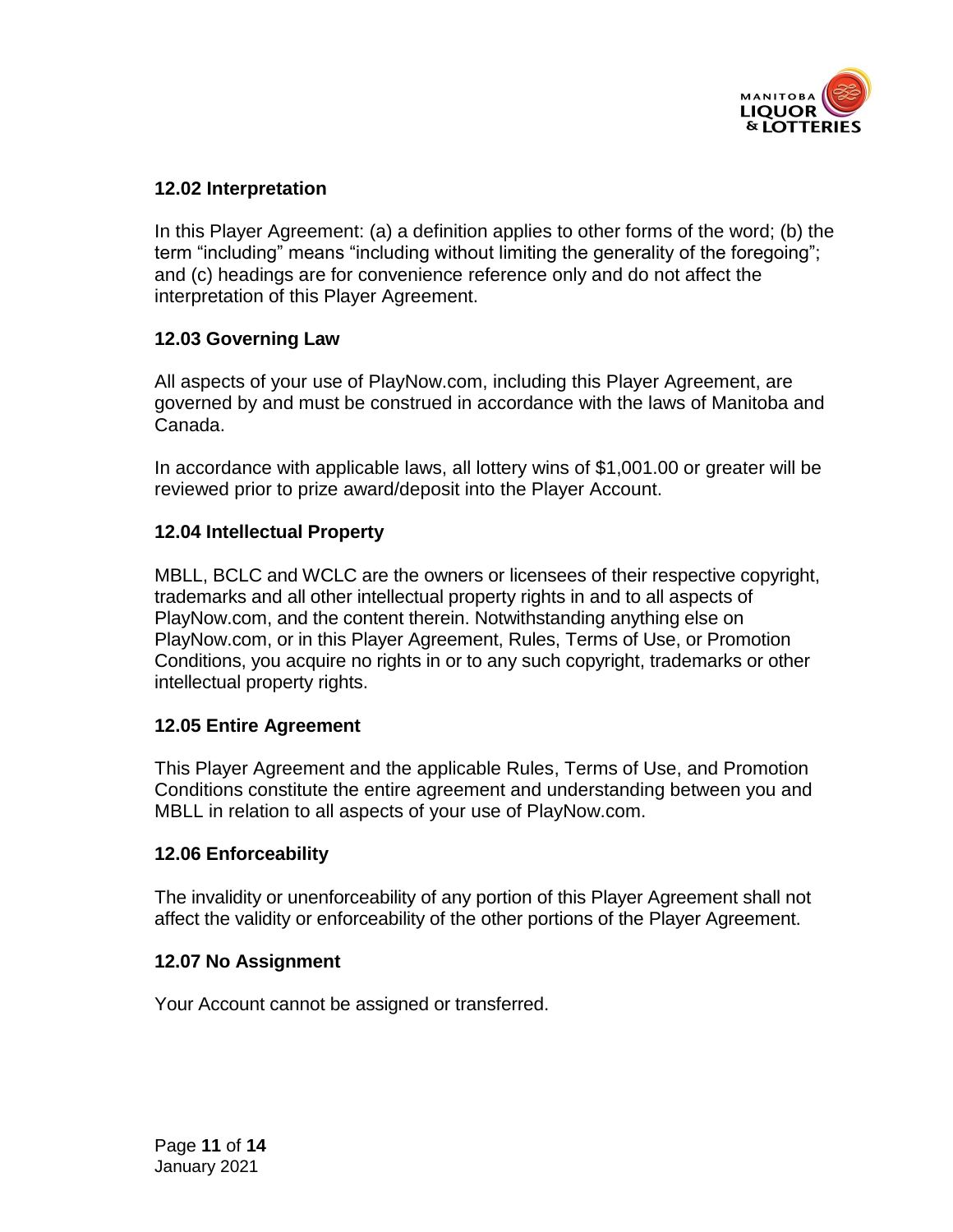

# **12.02 Interpretation**

In this Player Agreement: (a) a definition applies to other forms of the word; (b) the term "including" means "including without limiting the generality of the foregoing"; and (c) headings are for convenience reference only and do not affect the interpretation of this Player Agreement.

### **12.03 Governing Law**

All aspects of your use of PlayNow.com, including this Player Agreement, are governed by and must be construed in accordance with the laws of Manitoba and Canada.

In accordance with applicable laws, all lottery wins of \$1,001.00 or greater will be reviewed prior to prize award/deposit into the Player Account.

# **12.04 Intellectual Property**

MBLL, BCLC and WCLC are the owners or licensees of their respective copyright, trademarks and all other intellectual property rights in and to all aspects of PlayNow.com, and the content therein. Notwithstanding anything else on PlayNow.com, or in this Player Agreement, Rules, Terms of Use, or Promotion Conditions, you acquire no rights in or to any such copyright, trademarks or other intellectual property rights.

### **12.05 Entire Agreement**

This Player Agreement and the applicable Rules, Terms of Use, and Promotion Conditions constitute the entire agreement and understanding between you and MBLL in relation to all aspects of your use of PlayNow.com.

### **12.06 Enforceability**

The invalidity or unenforceability of any portion of this Player Agreement shall not affect the validity or enforceability of the other portions of the Player Agreement.

### **12.07 No Assignment**

Your Account cannot be assigned or transferred.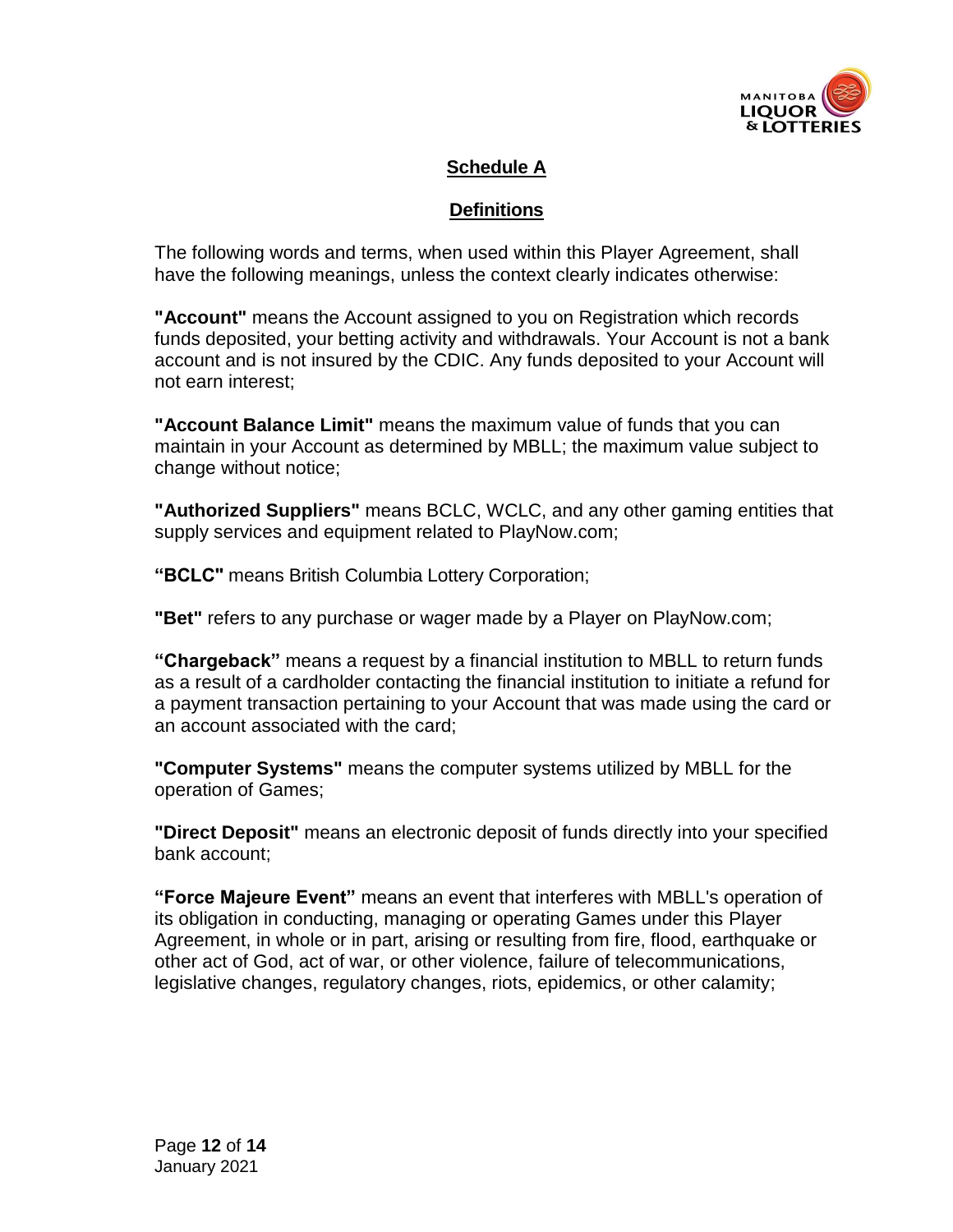

# **Schedule A**

### **Definitions**

The following words and terms, when used within this Player Agreement, shall have the following meanings, unless the context clearly indicates otherwise:

**"Account"** means the Account assigned to you on Registration which records funds deposited, your betting activity and withdrawals. Your Account is not a bank account and is not insured by the CDIC. Any funds deposited to your Account will not earn interest;

**"Account Balance Limit"** means the maximum value of funds that you can maintain in your Account as determined by MBLL; the maximum value subject to change without notice;

**"Authorized Suppliers"** means BCLC, WCLC, and any other gaming entities that supply services and equipment related to PlayNow.com;

**"BCLC"** means British Columbia Lottery Corporation;

**"Bet"** refers to any purchase or wager made by a Player on PlayNow.com;

**"Chargeback"** means a request by a financial institution to MBLL to return funds as a result of a cardholder contacting the financial institution to initiate a refund for a payment transaction pertaining to your Account that was made using the card or an account associated with the card;

**"Computer Systems"** means the computer systems utilized by MBLL for the operation of Games;

**"Direct Deposit"** means an electronic deposit of funds directly into your specified bank account;

**"Force Majeure Event"** means an event that interferes with MBLL's operation of its obligation in conducting, managing or operating Games under this Player Agreement, in whole or in part, arising or resulting from fire, flood, earthquake or other act of God, act of war, or other violence, failure of telecommunications, legislative changes, regulatory changes, riots, epidemics, or other calamity;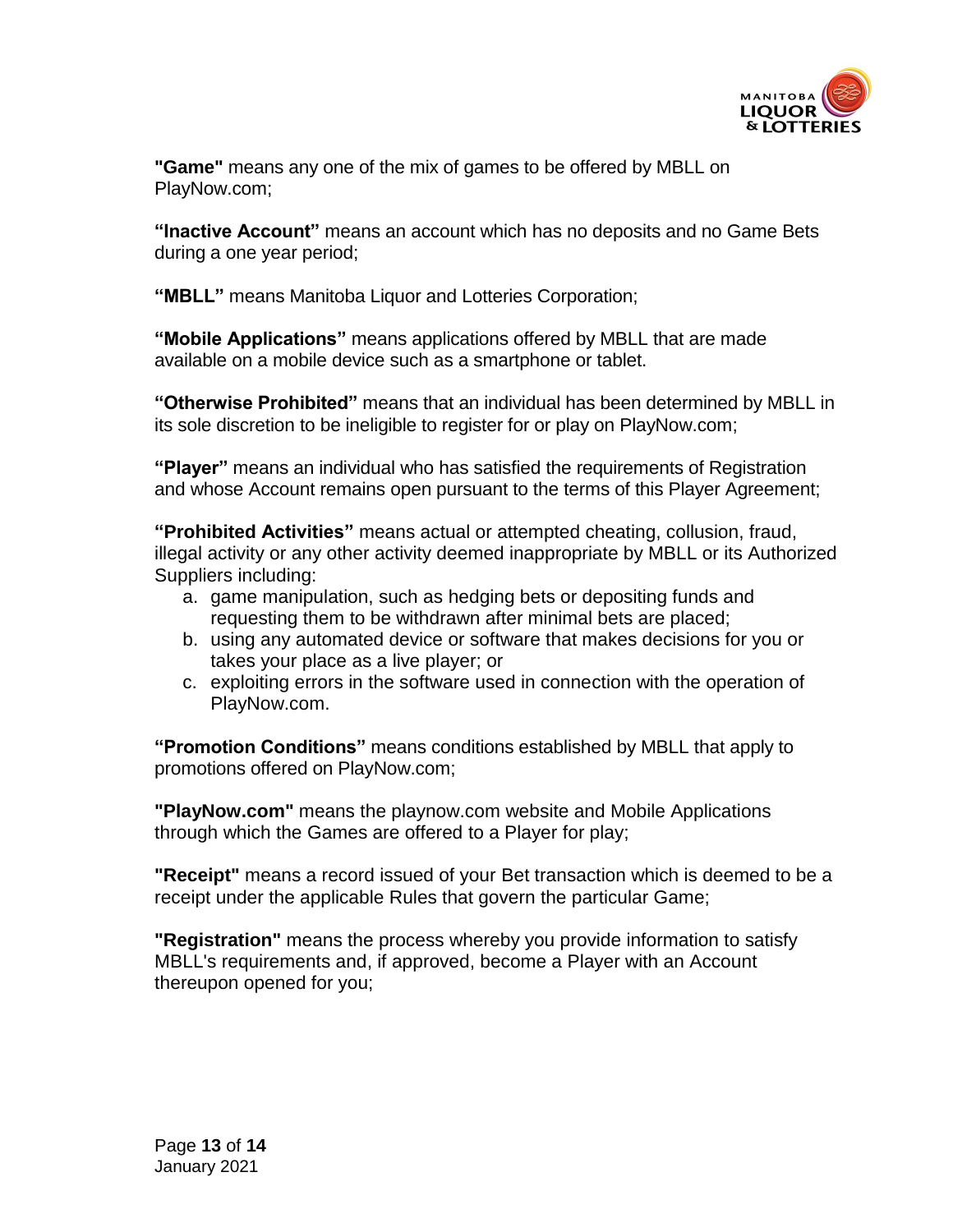

**"Game"** means any one of the mix of games to be offered by MBLL on PlayNow.com;

**"Inactive Account"** means an account which has no deposits and no Game Bets during a one year period;

**"MBLL"** means Manitoba Liquor and Lotteries Corporation;

**"Mobile Applications"** means applications offered by MBLL that are made available on a mobile device such as a smartphone or tablet.

**"Otherwise Prohibited"** means that an individual has been determined by MBLL in its sole discretion to be ineligible to register for or play on PlayNow.com;

**"Player"** means an individual who has satisfied the requirements of Registration and whose Account remains open pursuant to the terms of this Player Agreement;

**"Prohibited Activities"** means actual or attempted cheating, collusion, fraud, illegal activity or any other activity deemed inappropriate by MBLL or its Authorized Suppliers including:

- a. game manipulation, such as hedging bets or depositing funds and requesting them to be withdrawn after minimal bets are placed;
- b. using any automated device or software that makes decisions for you or takes your place as a live player; or
- c. exploiting errors in the software used in connection with the operation of PlayNow.com.

**"Promotion Conditions"** means conditions established by MBLL that apply to promotions offered on PlayNow.com;

**"PlayNow.com"** means the playnow.com website and Mobile Applications through which the Games are offered to a Player for play;

**"Receipt"** means a record issued of your Bet transaction which is deemed to be a receipt under the applicable Rules that govern the particular Game;

**"Registration"** means the process whereby you provide information to satisfy MBLL's requirements and, if approved, become a Player with an Account thereupon opened for you;